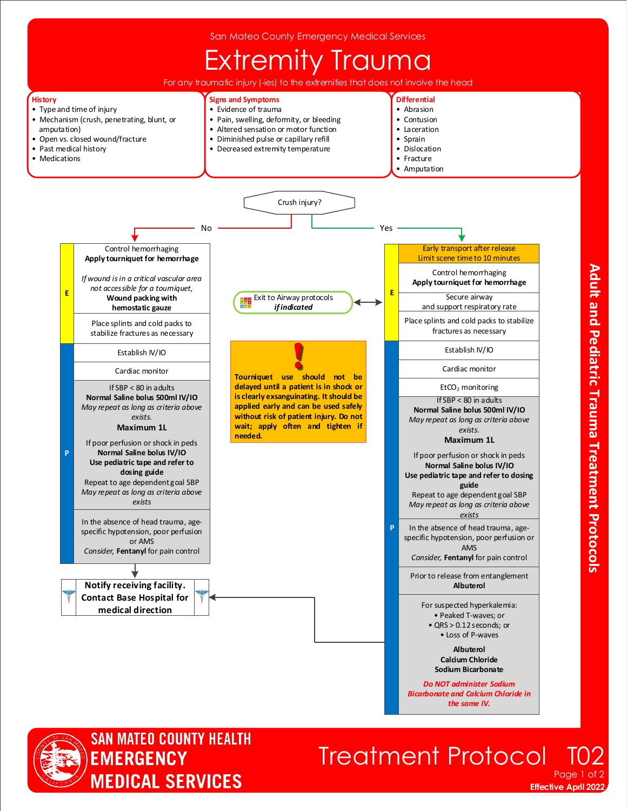



## **Treatment Protocol** Page 1

**Effective April 2022**